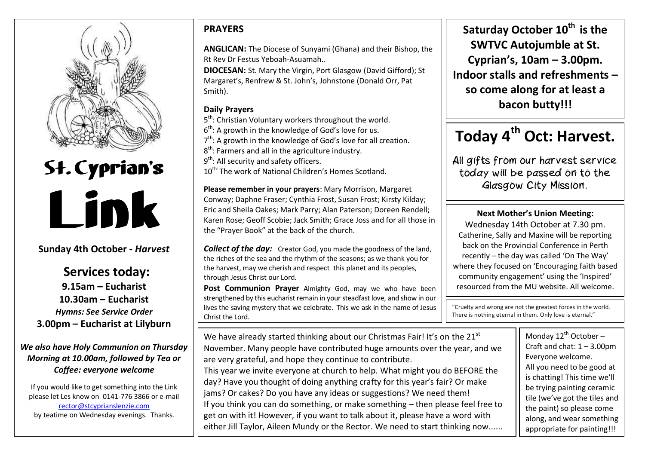

# St. Cyprian's Link

### **Sunday 4th October -** *Harvest*

**Services today: 9.15am – Eucharist 10.30am – Eucharist** *Hymns: See Service Order* **3.00pm – Eucharist at Lilyburn** 

*We also have Holy Communion on Thursday Morning at 10.00am, followed by Tea or Coffee: everyone welcome*

If you would like to get something into the Link please let Les know on 0141-776 3866 or e-mail [rector@stcyprianslenzie.com](mailto:rector@stcyprianslenzie.com) by teatime on Wednesday evenings. Thanks.

## **PRAYERS**

**ANGLICAN:** The Diocese of Sunyami (Ghana) and their Bishop, the Rt Rev Dr Festus Yeboah-Asuamah..

**DIOCESAN:** St. Mary the Virgin, Port Glasgow (David Gifford); St Margaret's, Renfrew & St. John's, Johnstone (Donald Orr, Pat Smith).

#### **Daily Prayers**

 $\overline{\phantom{0}}$ 

5<sup>th</sup>: Christian Voluntary workers throughout the world.

 $6<sup>th</sup>$ : A growth in the knowledge of God's love for us.

- 7<sup>th</sup>: A growth in the knowledge of God's love for all creation.
- $8<sup>th</sup>$ : Farmers and all in the agriculture industry.
- 9<sup>th</sup>: All security and safety officers.
- 10<sup>th:</sup> The work of National Children's Homes Scotland.

**Please remember in your prayers**: Mary Morrison, Margaret Conway; Daphne Fraser; Cynthia Frost, Susan Frost; Kirsty Kilday; Eric and Sheila Oakes; Mark Parry; Alan Paterson; Doreen Rendell; Karen Rose; Geoff Scobie; Jack Smith; Grace Joss and for all those in the "Prayer Book" at the back of the church.

*Collect of the day:* Creator God, you made the goodness of the land. the riches of the sea and the rhythm of the seasons; as we thank you for the harvest, may we cherish and respect this planet and its peoples, through Jesus Christ our Lord.

**Post Communion Prayer** Almighty God, may we who have been strengthened by this eucharist remain in your steadfast love, and show in our lives the saving mystery that we celebrate. This we ask in the name of Jesus Christ the Lord.

**Saturday October 10th is the SWTVC Autojumble at St. Cyprian's, 10am – 3.00pm. Indoor stalls and refreshments – so come along for at least a bacon butty!!!**

# **Today 4th Oct: Harvest.**

All gifts from our harvest service today will be passed on to the Glasgow City Mission.

#### **Next Mother's Union Meeting:**

Wednesday 14th October at 7.30 pm. Catherine, Sally and Maxine will be reporting back on the Provincial Conference in Perth recently – the day was called 'On The Way' where they focused on 'Encouraging faith based community engagement' using the 'Inspired' resourced from the MU website. All welcome.

"Cruelty and wrong are not the greatest forces in the world. There is nothing eternal in them. Only love is eternal."

We have already started thinking about our Christmas Fair! It's on the 21<sup>st</sup> November. Many people have contributed huge amounts over the year, and we are very grateful, and hope they continue to contribute. This year we invite everyone at church to help. What might you do BEFORE the day? Have you thought of doing anything crafty for this year's fair? Or make jams? Or cakes? Do you have any ideas or suggestions? We need them! If you think you can do something, or make something – then please feel free to get on with it! However, if you want to talk about it, please have a word with either Jill Taylor, Aileen Mundy or the Rector. We need to start thinking now...... Monday  $12^{th}$  October -Craft and chat:  $1 - 3.00$ pm Everyone welcome. All you need to be good at is chatting! This time we'll be trying painting ceramic tile (we've got the tiles and the paint) so please come along, and wear something appropriate for painting!!!